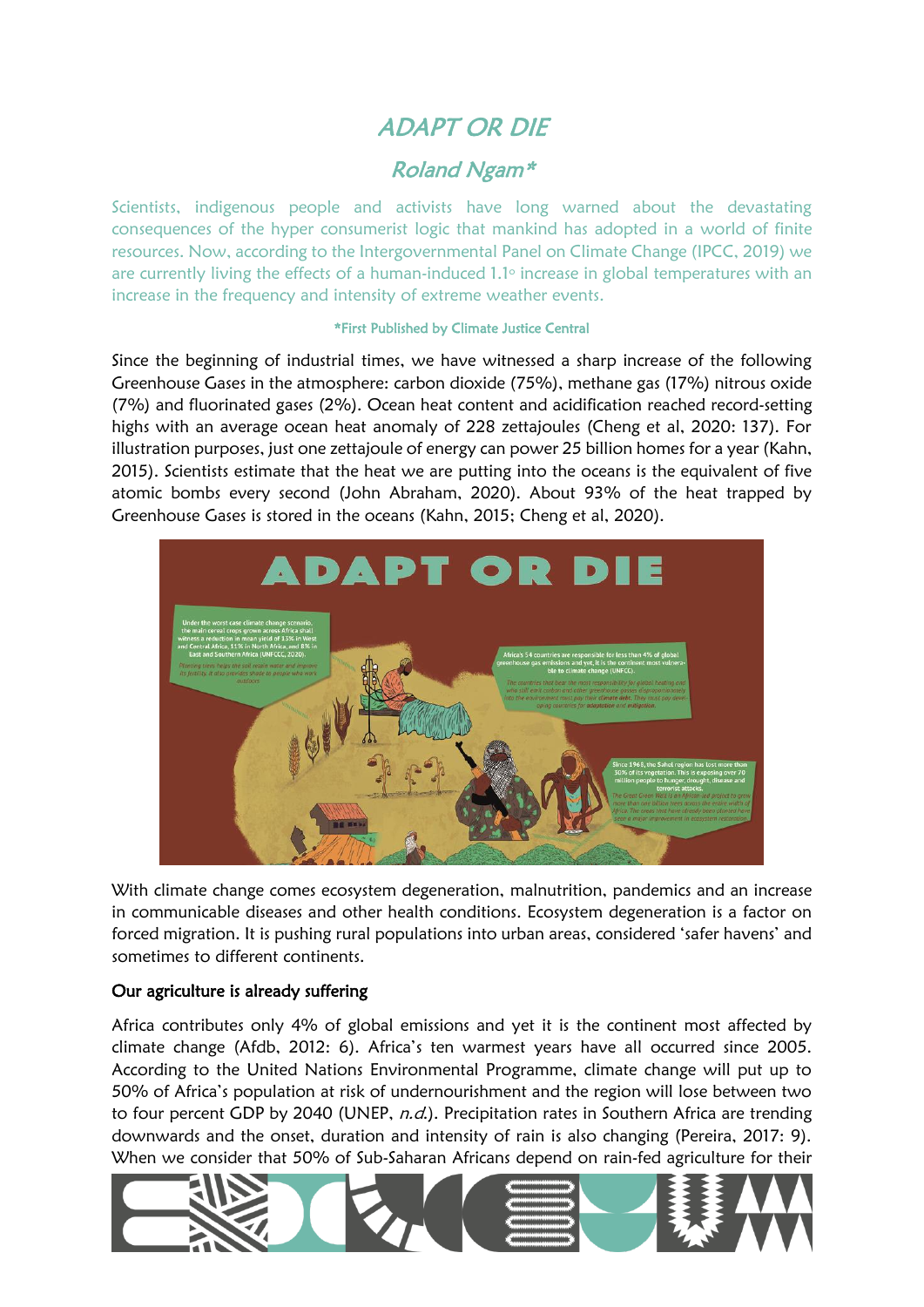# ADAPT OR DIE

# Roland Ngam\*

Scientists, indigenous people and activists have long warned about the devastating consequences of the hyper consumerist logic that mankind has adopted in a world of finite resources. Now, according to the Intergovernmental Panel on Climate Change (IPCC, 2019) we are currently living the effects of a human-induced 1.1° increase in global temperatures with an increase in the frequency and intensity of extreme weather events.

#### \*First Published by Climate Justice Central

Since the beginning of industrial times, we have witnessed a sharp increase of the following Greenhouse Gases in the atmosphere: carbon dioxide (75%), methane gas (17%) nitrous oxide (7%) and fluorinated gases (2%). Ocean heat content and acidification reached record-setting highs with an average ocean heat anomaly of 228 zettajoules (Cheng et al, 2020: 137). For illustration purposes, just one zettajoule of energy can power 25 billion homes for a year (Kahn, 2015). Scientists estimate that the heat we are putting into the oceans is the equivalent of five atomic bombs every second (John Abraham, 2020). About 93% of the heat trapped by Greenhouse Gases is stored in the oceans (Kahn, 2015; Cheng et al, 2020).



With climate change comes ecosystem degeneration, malnutrition, pandemics and an increase in communicable diseases and other health conditions. Ecosystem degeneration is a factor on forced migration. It is pushing rural populations into urban areas, considered 'safer havens' and sometimes to different continents.

### Our agriculture is already suffering

Africa contributes only 4% of global emissions and yet it is the continent most affected by climate change (Afdb, 2012: 6). Africa's ten warmest years have all occurred since 2005. According to the United Nations Environmental Programme, climate change will put up to 50% of Africa's population at risk of undernourishment and the region will lose between two to four percent GDP by 2040 (UNEP,  $n.d.$ ). Precipitation rates in Southern Africa are trending downwards and the onset, duration and intensity of rain is also changing (Pereira, 2017: 9). When we consider that 50% of Sub-Saharan Africans depend on rain-fed agriculture for their

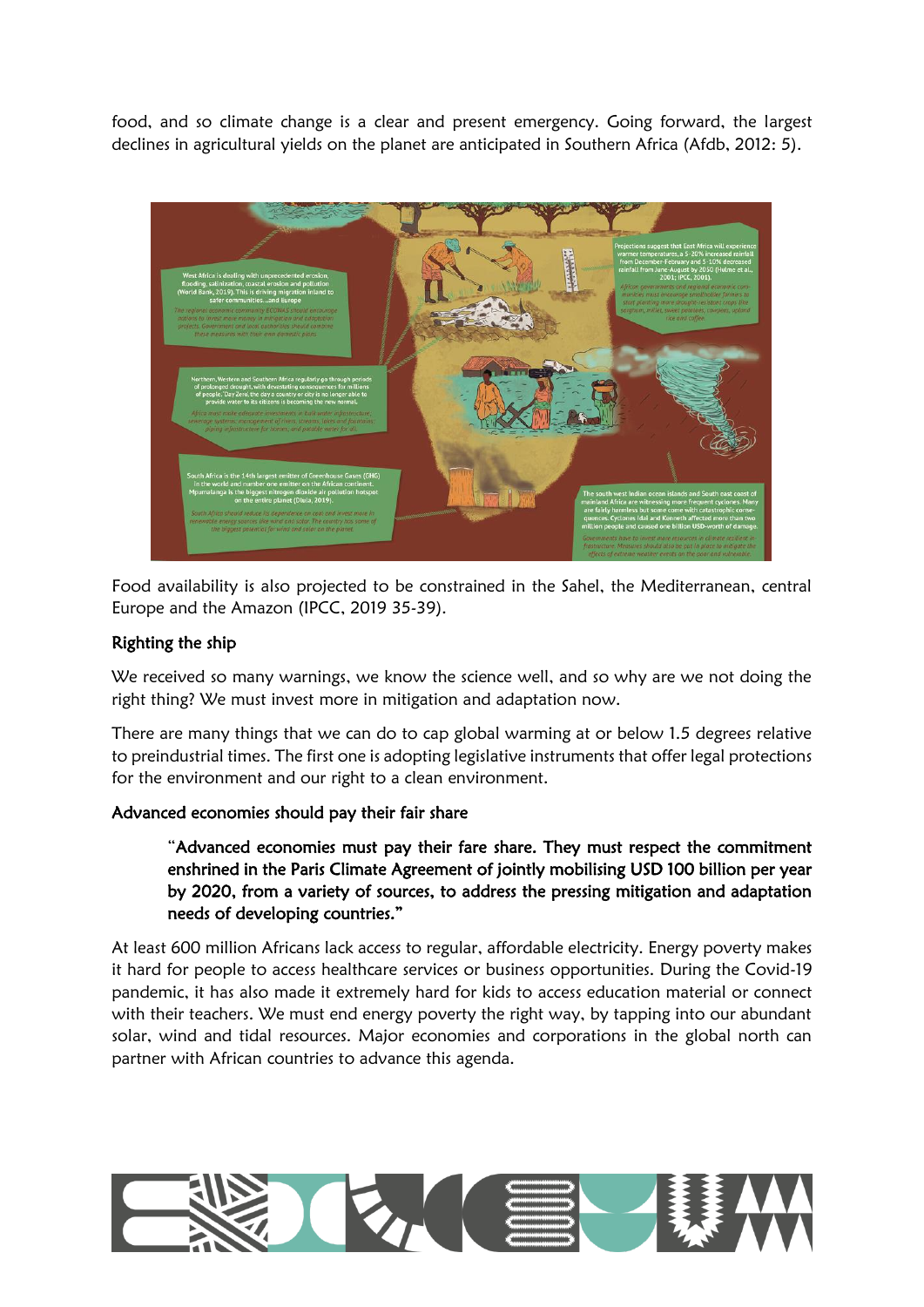food, and so climate change is a clear and present emergency. Going forward, the largest declines in agricultural yields on the planet are anticipated in Southern Africa (Afdb, 2012: 5).



Food availability is also projected to be constrained in the Sahel, the Mediterranean, central Europe and the Amazon (IPCC, 2019 35-39).

### Righting the ship

We received so many warnings, we know the science well, and so why are we not doing the right thing? We must invest more in mitigation and adaptation now.

There are many things that we can do to cap global warming at or below 1.5 degrees relative to preindustrial times. The first one is adopting legislative instruments that offer legal protections for the environment and our right to a clean environment.

#### Advanced economies should pay their fair share

"Advanced economies must pay their fare share. They must respect the commitment enshrined in the Paris Climate Agreement of jointly mobilising USD 100 billion per year by 2020, from a variety of sources, to address the pressing mitigation and adaptation needs of developing countries."

At least 600 million Africans lack access to regular, affordable electricity. Energy poverty makes it hard for people to access healthcare services or business opportunities. During the Covid-19 pandemic, it has also made it extremely hard for kids to access education material or connect with their teachers. We must end energy poverty the right way, by tapping into our abundant solar, wind and tidal resources. Major economies and corporations in the global north can partner with African countries to advance this agenda.